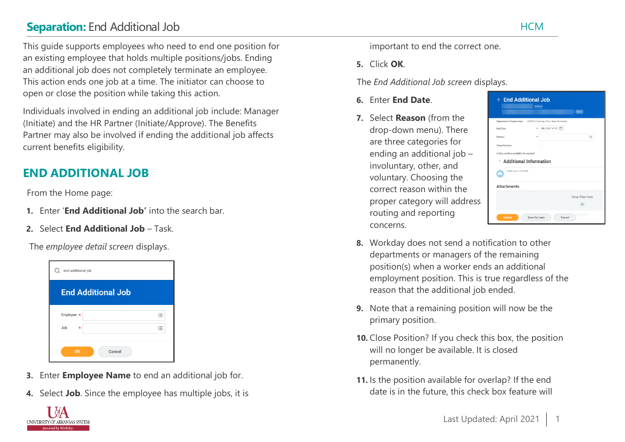# **Separation:** End Additional Job HCM

This guide supports employees who need to end one position for an existing employee that holds multiple positions/jobs. Ending an additional job does not completely terminate an employee. This action ends one job at a time. The initiator can choose to open or close the position while taking this action.

Individuals involved in ending an additional job include: Manager (Initiate) and the HR Partner (Initiate/Approve). The Benefits Partner may also be involved if ending the additional job affects current benefits eligibility.

## **END ADDITIONAL JOB**

From the Home page:

- **1.** Enter '**End Additional Job'** into the search bar.
- **2.** Select **End Additional Job**  Task.

The *employee detail screen* displays.



- **3.** Enter **Employee Name** to end an additional job for.
- **4.** Select **Job**. Since the employee has multiple jobs, it is



**5.** Click **OK**.

The *End Additional Job screen* displays.

- **6.** Enter **End Date**.
- **7.** Select **Reason** (from the drop-down menu). There are three categories for ending an additional job – involuntary, other, and voluntary. Choosing the correct reason within the proper category will address routing and reporting concerns.

|                                         |                                         | Actions         |
|-----------------------------------------|-----------------------------------------|-----------------|
| Supervisory Organization                | UASYS   Training - Four Year University |                 |
| End Date                                | WM/DD/YYYY 向                            |                 |
| Reason                                  |                                         | 這               |
| <b>Close Position</b>                   |                                         |                 |
| Is this position available for overlap? |                                         |                 |
|                                         | > Additional Information                |                 |
| enter your comment                      |                                         |                 |
|                                         |                                         |                 |
|                                         |                                         |                 |
|                                         |                                         |                 |
| <b>Attachments</b>                      |                                         |                 |
|                                         |                                         | Drop files here |

- **8.** Workday does not send a notification to other departments or managers of the remaining position(s) when a worker ends an additional employment position. This is true regardless of the reason that the additional job ended.
- **9.** Note that a remaining position will now be the primary position.
- **10.** Close Position? If you check this box, the position will no longer be available. It is closed permanently.
- **11.** Is the position available for overlap? If the end date is in the future, this check box feature will